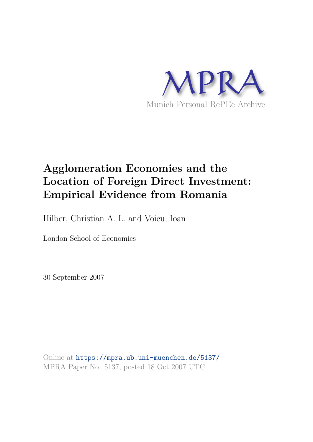

# **Agglomeration Economies and the Location of Foreign Direct Investment: Empirical Evidence from Romania**

Hilber, Christian A. L. and Voicu, Ioan

London School of Economics

30 September 2007

Online at https://mpra.ub.uni-muenchen.de/5137/ MPRA Paper No. 5137, posted 18 Oct 2007 UTC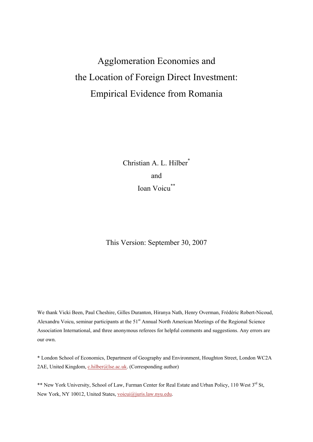# Agglomeration Economies and the Location of Foreign Direct Investment: Empirical Evidence from Romania

Christian A. L. Hilber<sup>\*</sup> and Ioan Voicu\*\*

This Version: September 30, 2007

We thank Vicki Been, Paul Cheshire, Gilles Duranton, Hiranya Nath, Henry Overman, Frédéric Robert-Nicoud, Alexandru Voicu, seminar participants at the 51<sup>st</sup> Annual North American Meetings of the Regional Science Association International, and three anonymous referees for helpful comments and suggestions. Any errors are our own.

\* London School of Economics, Department of Geography and Environment, Houghton Street, London WC2A 2AE, United Kingdom, c.hilber@lse.ac.uk. (Corresponding author)

\*\* New York University, School of Law, Furman Center for Real Estate and Urban Policy, 110 West 3rd St, New York, NY 10012, United States, voicui@juris.law.nyu.edu.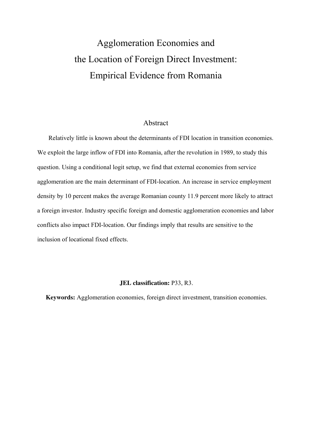# Agglomeration Economies and the Location of Foreign Direct Investment: Empirical Evidence from Romania

#### Abstract

Relatively little is known about the determinants of FDI location in transition economies. We exploit the large inflow of FDI into Romania, after the revolution in 1989, to study this question. Using a conditional logit setup, we find that external economies from service agglomeration are the main determinant of FDI-location. An increase in service employment density by 10 percent makes the average Romanian county 11.9 percent more likely to attract a foreign investor. Industry specific foreign and domestic agglomeration economies and labor conflicts also impact FDI-location. Our findings imply that results are sensitive to the inclusion of locational fixed effects.

#### **JEL classification:** P33, R3.

**Keywords:** Agglomeration economies, foreign direct investment, transition economies.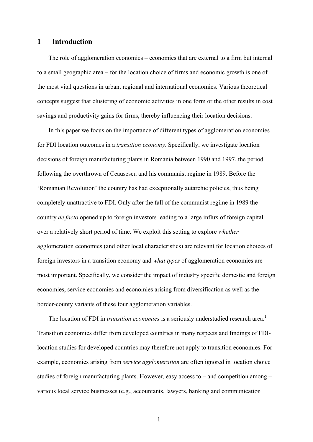### **1 Introduction**

The role of agglomeration economies – economies that are external to a firm but internal to a small geographic area – for the location choice of firms and economic growth is one of the most vital questions in urban, regional and international economics. Various theoretical concepts suggest that clustering of economic activities in one form or the other results in cost savings and productivity gains for firms, thereby influencing their location decisions.

In this paper we focus on the importance of different types of agglomeration economies for FDI location outcomes in a *transition economy*. Specifically, we investigate location decisions of foreign manufacturing plants in Romania between 1990 and 1997, the period following the overthrown of Ceausescu and his communist regime in 1989. Before the 'Romanian Revolution' the country has had exceptionally autarchic policies, thus being completely unattractive to FDI. Only after the fall of the communist regime in 1989 the country *de facto* opened up to foreign investors leading to a large influx of foreign capital over a relatively short period of time. We exploit this setting to explore *whether* agglomeration economies (and other local characteristics) are relevant for location choices of foreign investors in a transition economy and *what types* of agglomeration economies are most important. Specifically, we consider the impact of industry specific domestic and foreign economies, service economies and economies arising from diversification as well as the border-county variants of these four agglomeration variables.

The location of FDI in *transition economies* is a seriously understudied research area.<sup>1</sup> Transition economies differ from developed countries in many respects and findings of FDIlocation studies for developed countries may therefore not apply to transition economies. For example, economies arising from *service agglomeration* are often ignored in location choice studies of foreign manufacturing plants. However, easy access to – and competition among – various local service businesses (e.g., accountants, lawyers, banking and communication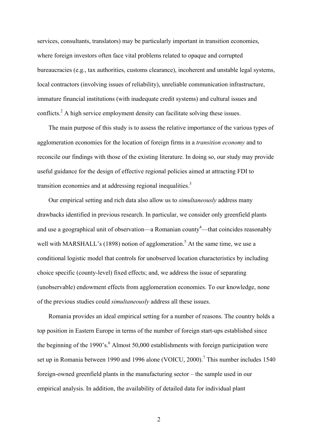services, consultants, translators) may be particularly important in transition economies, where foreign investors often face vital problems related to opaque and corrupted bureaucracies (e.g., tax authorities, customs clearance), incoherent and unstable legal systems, local contractors (involving issues of reliability), unreliable communication infrastructure, immature financial institutions (with inadequate credit systems) and cultural issues and conflicts.<sup>2</sup> A high service employment density can facilitate solving these issues.

The main purpose of this study is to assess the relative importance of the various types of agglomeration economies for the location of foreign firms in a *transition economy* and to reconcile our findings with those of the existing literature. In doing so, our study may provide useful guidance for the design of effective regional policies aimed at attracting FDI to transition economies and at addressing regional inequalities.<sup>3</sup>

Our empirical setting and rich data also allow us to *simultaneously* address many drawbacks identified in previous research. In particular, we consider only greenfield plants and use a geographical unit of observation—a Romanian county<sup>4</sup>—that coincides reasonably well with MARSHALL's (1898) notion of agglomeration.<sup>5</sup> At the same time, we use a conditional logistic model that controls for unobserved location characteristics by including choice specific (county-level) fixed effects; and, we address the issue of separating (unobservable) endowment effects from agglomeration economies. To our knowledge, none of the previous studies could *simultaneously* address all these issues.

Romania provides an ideal empirical setting for a number of reasons. The country holds a top position in Eastern Europe in terms of the number of foreign start-ups established since the beginning of the 1990's. $<sup>6</sup>$  Almost 50,000 establishments with foreign participation were</sup> set up in Romania between 1990 and 1996 alone (VOICU, 2000).<sup>7</sup> This number includes 1540 foreign-owned greenfield plants in the manufacturing sector – the sample used in our empirical analysis. In addition, the availability of detailed data for individual plant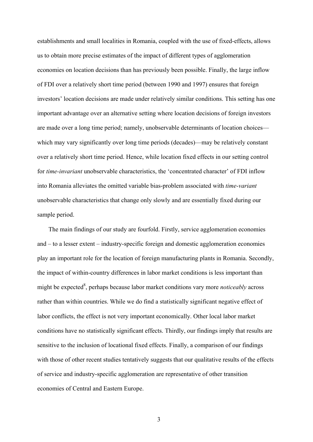establishments and small localities in Romania, coupled with the use of fixed-effects, allows us to obtain more precise estimates of the impact of different types of agglomeration economies on location decisions than has previously been possible. Finally, the large inflow of FDI over a relatively short time period (between 1990 and 1997) ensures that foreign investors' location decisions are made under relatively similar conditions. This setting has one important advantage over an alternative setting where location decisions of foreign investors are made over a long time period; namely, unobservable determinants of location choices which may vary significantly over long time periods (decades)—may be relatively constant over a relatively short time period. Hence, while location fixed effects in our setting control for *time-invariant* unobservable characteristics, the 'concentrated character' of FDI inflow into Romania alleviates the omitted variable bias-problem associated with *time-variant*  unobservable characteristics that change only slowly and are essentially fixed during our sample period.

The main findings of our study are fourfold. Firstly, service agglomeration economies and – to a lesser extent – industry-specific foreign and domestic agglomeration economies play an important role for the location of foreign manufacturing plants in Romania. Secondly, the impact of within-country differences in labor market conditions is less important than might be expected<sup>8</sup>, perhaps because labor market conditions vary more *noticeably* across rather than within countries. While we do find a statistically significant negative effect of labor conflicts, the effect is not very important economically. Other local labor market conditions have no statistically significant effects. Thirdly, our findings imply that results are sensitive to the inclusion of locational fixed effects. Finally, a comparison of our findings with those of other recent studies tentatively suggests that our qualitative results of the effects of service and industry-specific agglomeration are representative of other transition economies of Central and Eastern Europe.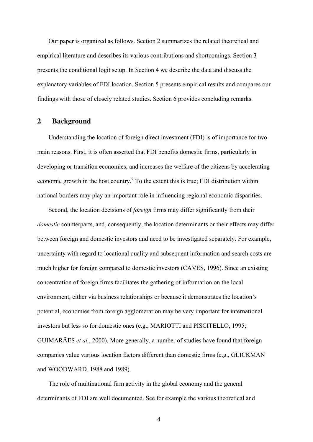Our paper is organized as follows. Section 2 summarizes the related theoretical and empirical literature and describes its various contributions and shortcomings. Section 3 presents the conditional logit setup. In Section 4 we describe the data and discuss the explanatory variables of FDI location. Section 5 presents empirical results and compares our findings with those of closely related studies. Section 6 provides concluding remarks.

### **2 Background**

Understanding the location of foreign direct investment (FDI) is of importance for two main reasons. First, it is often asserted that FDI benefits domestic firms, particularly in developing or transition economies, and increases the welfare of the citizens by accelerating economic growth in the host country.<sup>9</sup> To the extent this is true; FDI distribution within national borders may play an important role in influencing regional economic disparities.

Second, the location decisions of *foreign* firms may differ significantly from their *domestic* counterparts, and, consequently, the location determinants or their effects may differ between foreign and domestic investors and need to be investigated separately. For example, uncertainty with regard to locational quality and subsequent information and search costs are much higher for foreign compared to domestic investors (CAVES, 1996). Since an existing concentration of foreign firms facilitates the gathering of information on the local environment, either via business relationships or because it demonstrates the location's potential, economies from foreign agglomeration may be very important for international investors but less so for domestic ones (e.g., MARIOTTI and PISCITELLO, 1995; GUIMARÃES *et al.*, 2000). More generally, a number of studies have found that foreign companies value various location factors different than domestic firms (e.g., GLICKMAN and WOODWARD, 1988 and 1989).

The role of multinational firm activity in the global economy and the general determinants of FDI are well documented. See for example the various theoretical and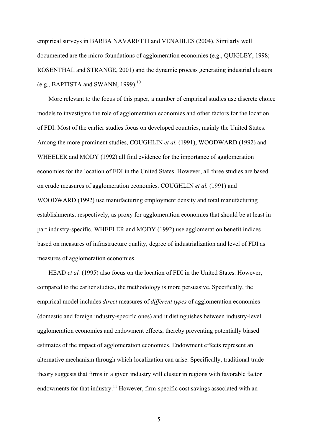empirical surveys in BARBA NAVARETTI and VENABLES (2004). Similarly well documented are the micro-foundations of agglomeration economies (e.g., QUIGLEY, 1998; ROSENTHAL and STRANGE, 2001) and the dynamic process generating industrial clusters (e.g., BAPTISTA and SWANN, 1999). $^{10}$ 

More relevant to the focus of this paper, a number of empirical studies use discrete choice models to investigate the role of agglomeration economies and other factors for the location of FDI. Most of the earlier studies focus on developed countries, mainly the United States. Among the more prominent studies, COUGHLIN *et al.* (1991), WOODWARD (1992) and WHEELER and MODY (1992) all find evidence for the importance of agglomeration economies for the location of FDI in the United States. However, all three studies are based on crude measures of agglomeration economies. COUGHLIN *et al.* (1991) and WOODWARD (1992) use manufacturing employment density and total manufacturing establishments, respectively, as proxy for agglomeration economies that should be at least in part industry-specific. WHEELER and MODY (1992) use agglomeration benefit indices based on measures of infrastructure quality, degree of industrialization and level of FDI as measures of agglomeration economies.

HEAD *et al.* (1995) also focus on the location of FDI in the United States. However, compared to the earlier studies, the methodology is more persuasive. Specifically, the empirical model includes *direct* measures of *different types* of agglomeration economies (domestic and foreign industry-specific ones) and it distinguishes between industry-level agglomeration economies and endowment effects, thereby preventing potentially biased estimates of the impact of agglomeration economies. Endowment effects represent an alternative mechanism through which localization can arise. Specifically, traditional trade theory suggests that firms in a given industry will cluster in regions with favorable factor endowments for that industry.<sup>11</sup> However, firm-specific cost savings associated with an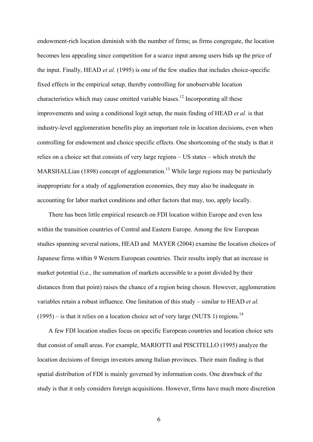endowment-rich location diminish with the number of firms; as firms congregate, the location becomes less appealing since competition for a scarce input among users bids up the price of the input. Finally, HEAD *et al.* (1995) is one of the few studies that includes choice-specific fixed effects in the empirical setup, thereby controlling for unobservable location characteristics which may cause omitted variable biases.<sup>12</sup> Incorporating all these improvements and using a conditional logit setup, the main finding of HEAD *et al.* is that industry-level agglomeration benefits play an important role in location decisions, even when controlling for endowment and choice specific effects. One shortcoming of the study is that it relies on a choice set that consists of very large regions – US states – which stretch the MARSHALLian (1898) concept of agglomeration.<sup>13</sup> While large regions may be particularly inappropriate for a study of agglomeration economies, they may also be inadequate in accounting for labor market conditions and other factors that may, too, apply locally.

There has been little empirical research on FDI location within Europe and even less within the transition countries of Central and Eastern Europe. Among the few European studies spanning several nations, HEAD and MAYER (2004) examine the location choices of Japanese firms within 9 Western European countries. Their results imply that an increase in market potential (i.e., the summation of markets accessible to a point divided by their distances from that point) raises the chance of a region being chosen. However, agglomeration variables retain a robust influence. One limitation of this study – similar to HEAD *et al.*   $(1995)$  – is that it relies on a location choice set of very large (NUTS 1) regions.<sup>14</sup>

A few FDI location studies focus on specific European countries and location choice sets that consist of small areas. For example, MARIOTTI and PISCITELLO (1995) analyze the location decisions of foreign investors among Italian provinces. Their main finding is that spatial distribution of FDI is mainly governed by information costs. One drawback of the study is that it only considers foreign acquisitions. However, firms have much more discretion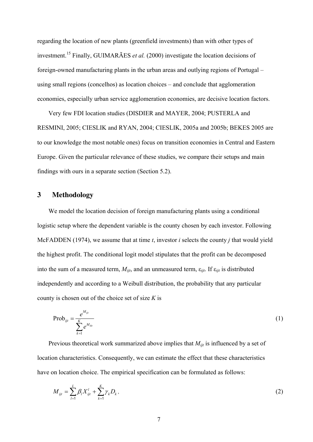regarding the location of new plants (greenfield investments) than with other types of investment.<sup>15</sup> Finally, GUIMARÃES *et al.* (2000) investigate the location decisions of foreign-owned manufacturing plants in the urban areas and outlying regions of Portugal – using small regions (concelhos) as location choices – and conclude that agglomeration economies, especially urban service agglomeration economies, are decisive location factors.

Very few FDI location studies (DISDIER and MAYER, 2004; PUSTERLA and RESMINI, 2005; CIESLIK and RYAN, 2004; CIESLIK, 2005a and 2005b; BEKES 2005 are to our knowledge the most notable ones) focus on transition economies in Central and Eastern Europe. Given the particular relevance of these studies, we compare their setups and main findings with ours in a separate section (Section 5.2).

# **3 Methodology**

We model the location decision of foreign manufacturing plants using a conditional logistic setup where the dependent variable is the county chosen by each investor. Following McFADDEN (1974), we assume that at time *t*, investor *i* selects the county *j* that would yield the highest profit. The conditional logit model stipulates that the profit can be decomposed into the sum of a measured term,  $M_{ijt}$ , and an unmeasured term,  $\varepsilon_{ijt}$ . If  $\varepsilon_{ijt}$  is distributed independently and according to a Weibull distribution, the probability that any particular county is chosen out of the choice set of size *K* is

$$
Prob_{ijt} = \frac{e^{M_{ijt}}}{\sum_{k=1}^{K} e^{M_{ikt}}}
$$
 (1)

Previous theoretical work summarized above implies that  $M_{ijt}$  is influenced by a set of location characteristics. Consequently, we can estimate the effect that these characteristics have on location choice. The empirical specification can be formulated as follows:

$$
M_{ijt} = \sum_{l=1}^{L} \beta_l X_{ijt}^l + \sum_{k=1}^{K} \gamma_k D_k, \qquad (2)
$$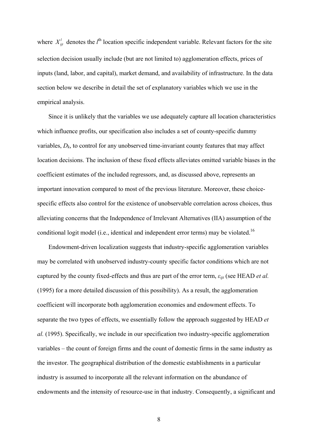where  $X_{ij}^l$  denotes the  $l^{\text{th}}$  location specific independent variable. Relevant factors for the site selection decision usually include (but are not limited to) agglomeration effects, prices of inputs (land, labor, and capital), market demand, and availability of infrastructure. In the data section below we describe in detail the set of explanatory variables which we use in the empirical analysis.

Since it is unlikely that the variables we use adequately capture all location characteristics which influence profits, our specification also includes a set of county-specific dummy variables,  $D_k$ , to control for any unobserved time-invariant county features that may affect location decisions. The inclusion of these fixed effects alleviates omitted variable biases in the coefficient estimates of the included regressors, and, as discussed above, represents an important innovation compared to most of the previous literature. Moreover, these choicespecific effects also control for the existence of unobservable correlation across choices, thus alleviating concerns that the Independence of Irrelevant Alternatives (IIA) assumption of the conditional logit model (i.e., identical and independent error terms) may be violated.<sup>16</sup>

Endowment-driven localization suggests that industry-specific agglomeration variables may be correlated with unobserved industry-county specific factor conditions which are not captured by the county fixed-effects and thus are part of the error term, *εijt* (see HEAD *et al.* (1995) for a more detailed discussion of this possibility). As a result, the agglomeration coefficient will incorporate both agglomeration economies and endowment effects. To separate the two types of effects, we essentially follow the approach suggested by HEAD *et al.* (1995). Specifically, we include in our specification two industry-specific agglomeration variables – the count of foreign firms and the count of domestic firms in the same industry as the investor. The geographical distribution of the domestic establishments in a particular industry is assumed to incorporate all the relevant information on the abundance of endowments and the intensity of resource-use in that industry. Consequently, a significant and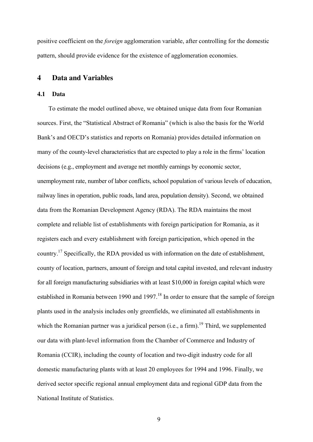positive coefficient on the *foreign* agglomeration variable, after controlling for the domestic pattern, should provide evidence for the existence of agglomeration economies.

# **4 Data and Variables**

#### **4.1 Data**

To estimate the model outlined above, we obtained unique data from four Romanian sources. First, the "Statistical Abstract of Romania" (which is also the basis for the World Bank's and OECD's statistics and reports on Romania) provides detailed information on many of the county-level characteristics that are expected to play a role in the firms' location decisions (e.g., employment and average net monthly earnings by economic sector, unemployment rate, number of labor conflicts, school population of various levels of education, railway lines in operation, public roads, land area, population density). Second, we obtained data from the Romanian Development Agency (RDA). The RDA maintains the most complete and reliable list of establishments with foreign participation for Romania, as it registers each and every establishment with foreign participation, which opened in the country.<sup>17</sup> Specifically, the RDA provided us with information on the date of establishment, county of location, partners, amount of foreign and total capital invested, and relevant industry for all foreign manufacturing subsidiaries with at least \$10,000 in foreign capital which were established in Romania between 1990 and 1997.<sup>18</sup> In order to ensure that the sample of foreign plants used in the analysis includes only greenfields, we eliminated all establishments in which the Romanian partner was a juridical person (i.e., a firm).<sup>19</sup> Third, we supplemented our data with plant-level information from the Chamber of Commerce and Industry of Romania (CCIR), including the county of location and two-digit industry code for all domestic manufacturing plants with at least 20 employees for 1994 and 1996. Finally, we derived sector specific regional annual employment data and regional GDP data from the National Institute of Statistics.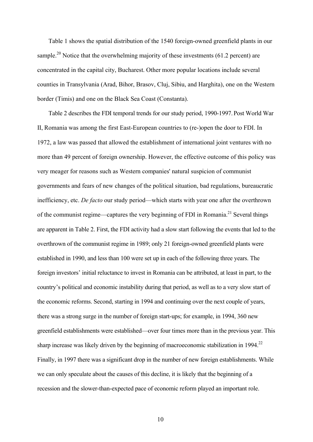Table 1 shows the spatial distribution of the 1540 foreign-owned greenfield plants in our sample.<sup>20</sup> Notice that the overwhelming majority of these investments (61.2 percent) are concentrated in the capital city, Bucharest. Other more popular locations include several counties in Transylvania (Arad, Bihor, Brasov, Cluj, Sibiu, and Harghita), one on the Western border (Timis) and one on the Black Sea Coast (Constanta).

Table 2 describes the FDI temporal trends for our study period, 1990-1997. Post World War II, Romania was among the first East-European countries to (re-)open the door to FDI. In 1972, a law was passed that allowed the establishment of international joint ventures with no more than 49 percent of foreign ownership. However, the effective outcome of this policy was very meager for reasons such as Western companies' natural suspicion of communist governments and fears of new changes of the political situation, bad regulations, bureaucratic inefficiency, etc. *De facto* our study period—which starts with year one after the overthrown of the communist regime—captures the very beginning of FDI in Romania.<sup>21</sup> Several things are apparent in Table 2. First, the FDI activity had a slow start following the events that led to the overthrown of the communist regime in 1989; only 21 foreign-owned greenfield plants were established in 1990, and less than 100 were set up in each of the following three years. The foreign investors' initial reluctance to invest in Romania can be attributed, at least in part, to the country's political and economic instability during that period, as well as to a very slow start of the economic reforms. Second, starting in 1994 and continuing over the next couple of years, there was a strong surge in the number of foreign start-ups; for example, in 1994, 360 new greenfield establishments were established—over four times more than in the previous year. This sharp increase was likely driven by the beginning of macroeconomic stabilization in  $1994.22$ Finally, in 1997 there was a significant drop in the number of new foreign establishments. While we can only speculate about the causes of this decline, it is likely that the beginning of a recession and the slower-than-expected pace of economic reform played an important role.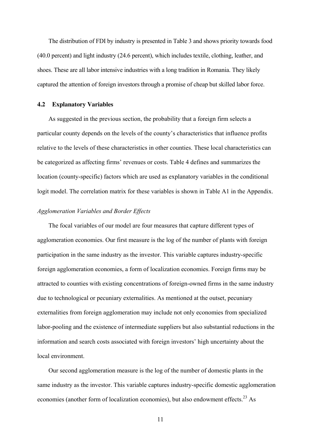The distribution of FDI by industry is presented in Table 3 and shows priority towards food (40.0 percent) and light industry (24.6 percent), which includes textile, clothing, leather, and shoes. These are all labor intensive industries with a long tradition in Romania. They likely captured the attention of foreign investors through a promise of cheap but skilled labor force.

#### **4.2 Explanatory Variables**

As suggested in the previous section, the probability that a foreign firm selects a particular county depends on the levels of the county's characteristics that influence profits relative to the levels of these characteristics in other counties. These local characteristics can be categorized as affecting firms' revenues or costs. Table 4 defines and summarizes the location (county-specific) factors which are used as explanatory variables in the conditional logit model. The correlation matrix for these variables is shown in Table A1 in the Appendix.

#### *Agglomeration Variables and Border Effects*

The focal variables of our model are four measures that capture different types of agglomeration economies. Our first measure is the log of the number of plants with foreign participation in the same industry as the investor. This variable captures industry-specific foreign agglomeration economies, a form of localization economies. Foreign firms may be attracted to counties with existing concentrations of foreign-owned firms in the same industry due to technological or pecuniary externalities. As mentioned at the outset, pecuniary externalities from foreign agglomeration may include not only economies from specialized labor-pooling and the existence of intermediate suppliers but also substantial reductions in the information and search costs associated with foreign investors' high uncertainty about the local environment.

Our second agglomeration measure is the log of the number of domestic plants in the same industry as the investor. This variable captures industry-specific domestic agglomeration economies (another form of localization economies), but also endowment effects.<sup>23</sup> As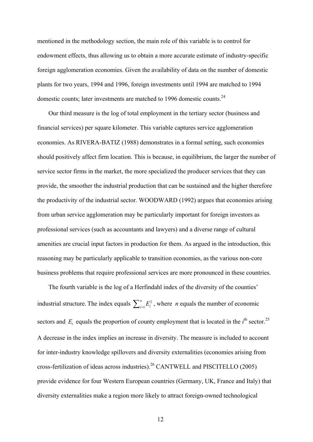mentioned in the methodology section, the main role of this variable is to control for endowment effects, thus allowing us to obtain a more accurate estimate of industry-specific foreign agglomeration economies. Given the availability of data on the number of domestic plants for two years, 1994 and 1996, foreign investments until 1994 are matched to 1994 domestic counts; later investments are matched to 1996 domestic counts.<sup>24</sup>

Our third measure is the log of total employment in the tertiary sector (business and financial services) per square kilometer. This variable captures service agglomeration economies. As RIVERA-BATIZ (1988) demonstrates in a formal setting, such economies should positively affect firm location. This is because, in equilibrium, the larger the number of service sector firms in the market, the more specialized the producer services that they can provide, the smoother the industrial production that can be sustained and the higher therefore the productivity of the industrial sector. WOODWARD (1992) argues that economies arising from urban service agglomeration may be particularly important for foreign investors as professional services (such as accountants and lawyers) and a diverse range of cultural amenities are crucial input factors in production for them. As argued in the introduction, this reasoning may be particularly applicable to transition economies, as the various non-core business problems that require professional services are more pronounced in these countries.

The fourth variable is the log of a Herfindahl index of the diversity of the counties' industrial structure. The index equals  $\sum_{i=1}^{n} E_i^2$ *n*  $\sum_{i=1}^{n} E_i^2$ , where *n* equals the number of economic sectors and  $E_i$  equals the proportion of county employment that is located in the  $i^{\text{th}}$  sector.<sup>25</sup> A decrease in the index implies an increase in diversity. The measure is included to account for inter-industry knowledge spillovers and diversity externalities (economies arising from cross-fertilization of ideas across industries).<sup>26</sup> CANTWELL and PISCITELLO (2005) provide evidence for four Western European countries (Germany, UK, France and Italy) that diversity externalities make a region more likely to attract foreign-owned technological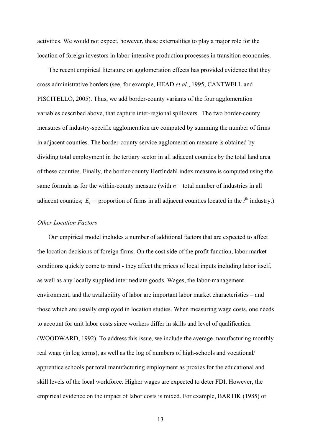activities. We would not expect, however, these externalities to play a major role for the location of foreign investors in labor-intensive production processes in transition economies.

The recent empirical literature on agglomeration effects has provided evidence that they cross administrative borders (see, for example, HEAD *et al.*, 1995; CANTWELL and PISCITELLO, 2005). Thus, we add border-county variants of the four agglomeration variables described above, that capture inter-regional spillovers. The two border-county measures of industry-specific agglomeration are computed by summing the number of firms in adjacent counties. The border-county service agglomeration measure is obtained by dividing total employment in the tertiary sector in all adjacent counties by the total land area of these counties. Finally, the border-county Herfindahl index measure is computed using the same formula as for the within-county measure (with  $n =$  total number of industries in all adjacent counties;  $E_i$  = proportion of firms in all adjacent counties located in the  $i^{\text{th}}$  industry.)

### *Other Location Factors*

Our empirical model includes a number of additional factors that are expected to affect the location decisions of foreign firms. On the cost side of the profit function, labor market conditions quickly come to mind - they affect the prices of local inputs including labor itself, as well as any locally supplied intermediate goods. Wages, the labor-management environment, and the availability of labor are important labor market characteristics – and those which are usually employed in location studies. When measuring wage costs, one needs to account for unit labor costs since workers differ in skills and level of qualification (WOODWARD, 1992). To address this issue, we include the average manufacturing monthly real wage (in log terms), as well as the log of numbers of high-schools and vocational/ apprentice schools per total manufacturing employment as proxies for the educational and skill levels of the local workforce. Higher wages are expected to deter FDI. However, the empirical evidence on the impact of labor costs is mixed. For example, BARTIK (1985) or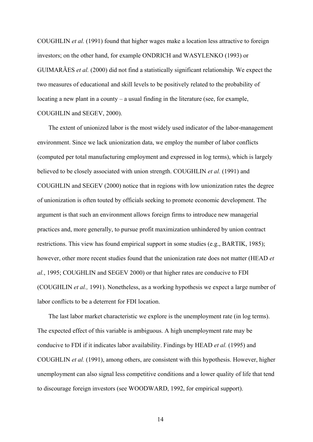COUGHLIN *et al.* (1991) found that higher wages make a location less attractive to foreign investors; on the other hand, for example ONDRICH and WASYLENKO (1993) or GUIMARÃES *et al.* (2000) did not find a statistically significant relationship. We expect the two measures of educational and skill levels to be positively related to the probability of locating a new plant in a county – a usual finding in the literature (see, for example, COUGHLIN and SEGEV, 2000).

The extent of unionized labor is the most widely used indicator of the labor-management environment. Since we lack unionization data, we employ the number of labor conflicts (computed per total manufacturing employment and expressed in log terms), which is largely believed to be closely associated with union strength. COUGHLIN *et al.* (1991) and COUGHLIN and SEGEV (2000) notice that in regions with low unionization rates the degree of unionization is often touted by officials seeking to promote economic development. The argument is that such an environment allows foreign firms to introduce new managerial practices and, more generally, to pursue profit maximization unhindered by union contract restrictions. This view has found empirical support in some studies (e.g., BARTIK, 1985); however, other more recent studies found that the unionization rate does not matter (HEAD *et al.*, 1995; COUGHLIN and SEGEV 2000) or that higher rates are conducive to FDI (COUGHLIN *et al.,* 1991). Nonetheless, as a working hypothesis we expect a large number of labor conflicts to be a deterrent for FDI location.

The last labor market characteristic we explore is the unemployment rate (in log terms). The expected effect of this variable is ambiguous. A high unemployment rate may be conducive to FDI if it indicates labor availability. Findings by HEAD *et al.* (1995) and COUGHLIN *et al.* (1991), among others, are consistent with this hypothesis. However, higher unemployment can also signal less competitive conditions and a lower quality of life that tend to discourage foreign investors (see WOODWARD, 1992, for empirical support).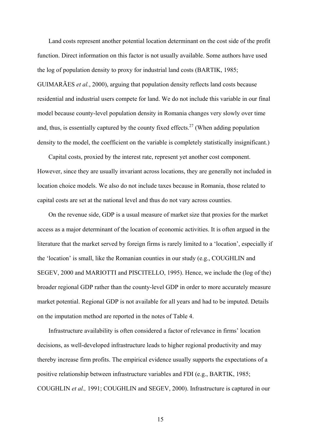Land costs represent another potential location determinant on the cost side of the profit function. Direct information on this factor is not usually available. Some authors have used the log of population density to proxy for industrial land costs (BARTIK, 1985; GUIMARÃES *et al.*, 2000), arguing that population density reflects land costs because residential and industrial users compete for land. We do not include this variable in our final model because county-level population density in Romania changes very slowly over time and, thus, is essentially captured by the county fixed effects.<sup>27</sup> (When adding population density to the model, the coefficient on the variable is completely statistically insignificant.)

Capital costs, proxied by the interest rate, represent yet another cost component. However, since they are usually invariant across locations, they are generally not included in location choice models. We also do not include taxes because in Romania, those related to capital costs are set at the national level and thus do not vary across counties.

On the revenue side, GDP is a usual measure of market size that proxies for the market access as a major determinant of the location of economic activities. It is often argued in the literature that the market served by foreign firms is rarely limited to a 'location', especially if the 'location' is small, like the Romanian counties in our study (e.g., COUGHLIN and SEGEV, 2000 and MARIOTTI and PISCITELLO, 1995). Hence, we include the (log of the) broader regional GDP rather than the county-level GDP in order to more accurately measure market potential. Regional GDP is not available for all years and had to be imputed. Details on the imputation method are reported in the notes of Table 4.

Infrastructure availability is often considered a factor of relevance in firms' location decisions, as well-developed infrastructure leads to higher regional productivity and may thereby increase firm profits. The empirical evidence usually supports the expectations of a positive relationship between infrastructure variables and FDI (e.g., BARTIK, 1985; COUGHLIN *et al.,* 1991; COUGHLIN and SEGEV, 2000). Infrastructure is captured in our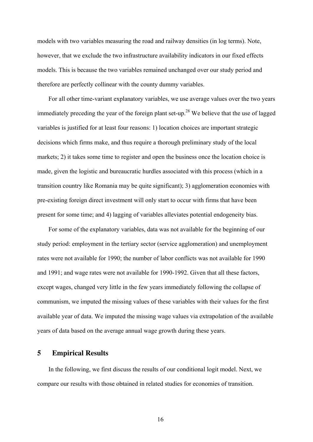models with two variables measuring the road and railway densities (in log terms). Note, however, that we exclude the two infrastructure availability indicators in our fixed effects models. This is because the two variables remained unchanged over our study period and therefore are perfectly collinear with the county dummy variables.

For all other time-variant explanatory variables, we use average values over the two years immediately preceding the year of the foreign plant set-up.<sup>28</sup> We believe that the use of lagged variables is justified for at least four reasons: 1) location choices are important strategic decisions which firms make, and thus require a thorough preliminary study of the local markets; 2) it takes some time to register and open the business once the location choice is made, given the logistic and bureaucratic hurdles associated with this process (which in a transition country like Romania may be quite significant); 3) agglomeration economies with pre-existing foreign direct investment will only start to occur with firms that have been present for some time; and 4) lagging of variables alleviates potential endogeneity bias.

For some of the explanatory variables, data was not available for the beginning of our study period: employment in the tertiary sector (service agglomeration) and unemployment rates were not available for 1990; the number of labor conflicts was not available for 1990 and 1991; and wage rates were not available for 1990-1992. Given that all these factors, except wages, changed very little in the few years immediately following the collapse of communism, we imputed the missing values of these variables with their values for the first available year of data. We imputed the missing wage values via extrapolation of the available years of data based on the average annual wage growth during these years.

# **5 Empirical Results**

In the following, we first discuss the results of our conditional logit model. Next, we compare our results with those obtained in related studies for economies of transition.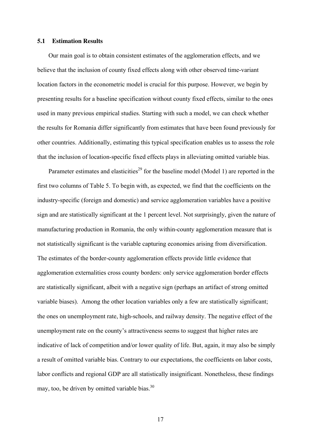#### **5.1 Estimation Results**

Our main goal is to obtain consistent estimates of the agglomeration effects, and we believe that the inclusion of county fixed effects along with other observed time-variant location factors in the econometric model is crucial for this purpose. However, we begin by presenting results for a baseline specification without county fixed effects, similar to the ones used in many previous empirical studies. Starting with such a model, we can check whether the results for Romania differ significantly from estimates that have been found previously for other countries. Additionally, estimating this typical specification enables us to assess the role that the inclusion of location-specific fixed effects plays in alleviating omitted variable bias.

Parameter estimates and elasticities<sup>29</sup> for the baseline model (Model 1) are reported in the first two columns of Table 5. To begin with, as expected, we find that the coefficients on the industry-specific (foreign and domestic) and service agglomeration variables have a positive sign and are statistically significant at the 1 percent level. Not surprisingly, given the nature of manufacturing production in Romania, the only within-county agglomeration measure that is not statistically significant is the variable capturing economies arising from diversification. The estimates of the border-county agglomeration effects provide little evidence that agglomeration externalities cross county borders: only service agglomeration border effects are statistically significant, albeit with a negative sign (perhaps an artifact of strong omitted variable biases). Among the other location variables only a few are statistically significant; the ones on unemployment rate, high-schools, and railway density. The negative effect of the unemployment rate on the county's attractiveness seems to suggest that higher rates are indicative of lack of competition and/or lower quality of life. But, again, it may also be simply a result of omitted variable bias. Contrary to our expectations, the coefficients on labor costs, labor conflicts and regional GDP are all statistically insignificant. Nonetheless, these findings may, too, be driven by omitted variable bias. $30$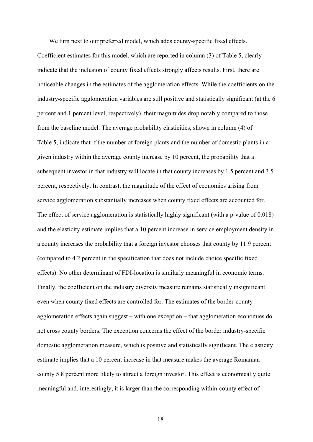We turn next to our preferred model, which adds county-specific fixed effects. Coefficient estimates for this model, which are reported in column (3) of Table 5, clearly indicate that the inclusion of county fixed effects strongly affects results. First, there are noticeable changes in the estimates of the agglomeration effects. While the coefficients on the industry-specific agglomeration variables are still positive and statistically significant (at the 6 percent and 1 percent level, respectively), their magnitudes drop notably compared to those from the baseline model. The average probability elasticities, shown in column (4) of Table 5, indicate that if the number of foreign plants and the number of domestic plants in a given industry within the average county increase by 10 percent, the probability that a subsequent investor in that industry will locate in that county increases by 1.5 percent and 3.5 percent, respectively. In contrast, the magnitude of the effect of economies arising from service agglomeration substantially increases when county fixed effects are accounted for. The effect of service agglomeration is statistically highly significant (with a p-value of 0.018) and the elasticity estimate implies that a 10 percent increase in service employment density in a county increases the probability that a foreign investor chooses that county by 11.9 percent (compared to 4.2 percent in the specification that does not include choice specific fixed effects). No other determinant of FDI-location is similarly meaningful in economic terms. Finally, the coefficient on the industry diversity measure remains statistically insignificant even when county fixed effects are controlled for. The estimates of the border-county agglomeration effects again suggest – with one exception – that agglomeration economies do not cross county borders. The exception concerns the effect of the border industry-specific domestic agglomeration measure, which is positive and statistically significant. The elasticity estimate implies that a 10 percent increase in that measure makes the average Romanian county 5.8 percent more likely to attract a foreign investor. This effect is economically quite meaningful and, interestingly, it is larger than the corresponding within-county effect of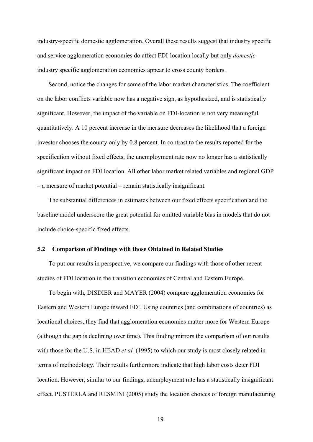industry-specific domestic agglomeration. Overall these results suggest that industry specific and service agglomeration economies do affect FDI-location locally but only *domestic* industry specific agglomeration economies appear to cross county borders.

Second, notice the changes for some of the labor market characteristics. The coefficient on the labor conflicts variable now has a negative sign, as hypothesized, and is statistically significant. However, the impact of the variable on FDI-location is not very meaningful quantitatively. A 10 percent increase in the measure decreases the likelihood that a foreign investor chooses the county only by 0.8 percent. In contrast to the results reported for the specification without fixed effects, the unemployment rate now no longer has a statistically significant impact on FDI location. All other labor market related variables and regional GDP – a measure of market potential – remain statistically insignificant.

The substantial differences in estimates between our fixed effects specification and the baseline model underscore the great potential for omitted variable bias in models that do not include choice-specific fixed effects.

#### **5.2 Comparison of Findings with those Obtained in Related Studies**

To put our results in perspective, we compare our findings with those of other recent studies of FDI location in the transition economies of Central and Eastern Europe.

To begin with, DISDIER and MAYER (2004) compare agglomeration economies for Eastern and Western Europe inward FDI. Using countries (and combinations of countries) as locational choices, they find that agglomeration economies matter more for Western Europe (although the gap is declining over time). This finding mirrors the comparison of our results with those for the U.S. in HEAD *et al.* (1995) to which our study is most closely related in terms of methodology. Their results furthermore indicate that high labor costs deter FDI location. However, similar to our findings, unemployment rate has a statistically insignificant effect. PUSTERLA and RESMINI (2005) study the location choices of foreign manufacturing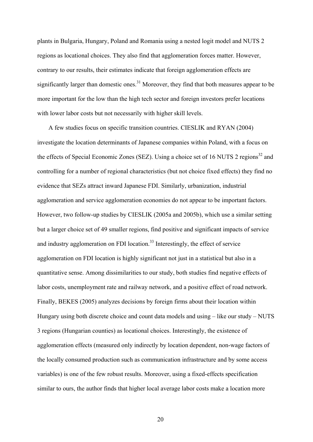plants in Bulgaria, Hungary, Poland and Romania using a nested logit model and NUTS 2 regions as locational choices. They also find that agglomeration forces matter. However, contrary to our results, their estimates indicate that foreign agglomeration effects are significantly larger than domestic ones.<sup>31</sup> Moreover, they find that both measures appear to be more important for the low than the high tech sector and foreign investors prefer locations with lower labor costs but not necessarily with higher skill levels.

A few studies focus on specific transition countries. CIESLIK and RYAN (2004) investigate the location determinants of Japanese companies within Poland, with a focus on the effects of Special Economic Zones (SEZ). Using a choice set of 16 NUTS 2 regions<sup>32</sup> and controlling for a number of regional characteristics (but not choice fixed effects) they find no evidence that SEZs attract inward Japanese FDI. Similarly, urbanization, industrial agglomeration and service agglomeration economies do not appear to be important factors. However, two follow-up studies by CIESLIK (2005a and 2005b), which use a similar setting but a larger choice set of 49 smaller regions, find positive and significant impacts of service and industry agglomeration on FDI location.<sup>33</sup> Interestingly, the effect of service agglomeration on FDI location is highly significant not just in a statistical but also in a quantitative sense. Among dissimilarities to our study, both studies find negative effects of labor costs, unemployment rate and railway network, and a positive effect of road network. Finally, BEKES (2005) analyzes decisions by foreign firms about their location within Hungary using both discrete choice and count data models and using – like our study – NUTS 3 regions (Hungarian counties) as locational choices. Interestingly, the existence of agglomeration effects (measured only indirectly by location dependent, non-wage factors of the locally consumed production such as communication infrastructure and by some access variables) is one of the few robust results. Moreover, using a fixed-effects specification similar to ours, the author finds that higher local average labor costs make a location more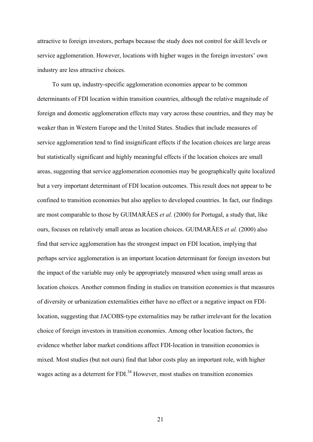attractive to foreign investors, perhaps because the study does not control for skill levels or service agglomeration. However, locations with higher wages in the foreign investors' own industry are less attractive choices.

To sum up, industry-specific agglomeration economies appear to be common determinants of FDI location within transition countries, although the relative magnitude of foreign and domestic agglomeration effects may vary across these countries, and they may be weaker than in Western Europe and the United States. Studies that include measures of service agglomeration tend to find insignificant effects if the location choices are large areas but statistically significant and highly meaningful effects if the location choices are small areas, suggesting that service agglomeration economies may be geographically quite localized but a very important determinant of FDI location outcomes. This result does not appear to be confined to transition economies but also applies to developed countries. In fact, our findings are most comparable to those by GUIMARÃES *et al.* (2000) for Portugal, a study that, like ours, focuses on relatively small areas as location choices. GUIMARÃES *et al.* (2000) also find that service agglomeration has the strongest impact on FDI location, implying that perhaps service agglomeration is an important location determinant for foreign investors but the impact of the variable may only be appropriately measured when using small areas as location choices. Another common finding in studies on transition economies is that measures of diversity or urbanization externalities either have no effect or a negative impact on FDIlocation, suggesting that JACOBS-type externalities may be rather irrelevant for the location choice of foreign investors in transition economies. Among other location factors, the evidence whether labor market conditions affect FDI-location in transition economies is mixed. Most studies (but not ours) find that labor costs play an important role, with higher wages acting as a deterrent for FDI.<sup>34</sup> However, most studies on transition economies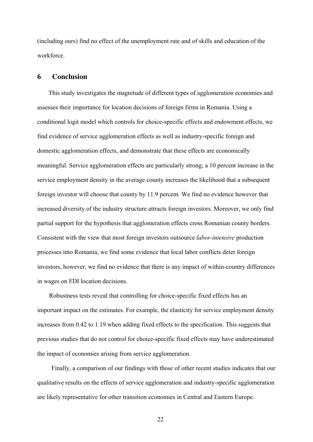(including ours) find no effect of the unemployment rate and of skills and education of the workforce.

### **6 Conclusion**

This study investigates the magnitude of different types of agglomeration economies and assesses their importance for location decisions of foreign firms in Romania. Using a conditional logit model which controls for choice-specific effects and endowment effects, we find evidence of service agglomeration effects as well as industry-specific foreign and domestic agglomeration effects, and demonstrate that these effects are economically meaningful. Service agglomeration effects are particularly strong; a 10 percent increase in the service employment density in the average county increases the likelihood that a subsequent foreign investor will choose that county by 11.9 percent. We find no evidence however that increased diversity of the industry structure attracts foreign investors. Moreover, we only find partial support for the hypothesis that agglomeration effects cross Romanian county borders. Consistent with the view that most foreign investors outsource *labor-intensive* production processes into Romania, we find some evidence that local labor conflicts deter foreign investors, however, we find no evidence that there is any impact of within-country differences in wages on FDI location decisions.

Robustness tests reveal that controlling for choice-specific fixed effects has an important impact on the estimates. For example, the elasticity for service employment density increases from 0.42 to 1.19 when adding fixed effects to the specification. This suggests that previous studies that do not control for choice-specific fixed effects may have underestimated the impact of economies arising from service agglomeration.

Finally, a comparison of our findings with those of other recent studies indicates that our qualitative results on the effects of service agglomeration and industry-specific agglomeration are likely representative for other transition economies in Central and Eastern Europe.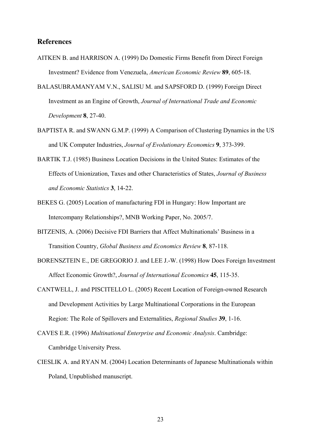#### **References**

- AITKEN B. and HARRISON A. (1999) Do Domestic Firms Benefit from Direct Foreign Investment? Evidence from Venezuela, *American Economic Review* **89**, 605-18.
- BALASUBRAMANYAM V.N., SALISU M. and SAPSFORD D. (1999) Foreign Direct Investment as an Engine of Growth, *Journal of International Trade and Economic Development* **8**, 27-40.
- BAPTISTA R. and SWANN G.M.P. (1999) A Comparison of Clustering Dynamics in the US and UK Computer Industries, *Journal of Evolutionary Economics* **9**, 373-399.
- BARTIK T.J. (1985) Business Location Decisions in the United States: Estimates of the Effects of Unionization, Taxes and other Characteristics of States, *Journal of Business and Economic Statistics* **3**, 14-22.
- BEKES G. (2005) Location of manufacturing FDI in Hungary: How Important are Intercompany Relationships?, MNB Working Paper, No. 2005/7.
- BITZENIS, A. (2006) Decisive FDI Barriers that Affect Multinationals' Business in a Transition Country, *Global Business and Economics Review* **8**, 87-118.
- BORENSZTEIN E., DE GREGORIO J. and LEE J.-W. (1998) How Does Foreign Investment Affect Economic Growth?, *Journal of International Economics* **45**, 115-35.
- CANTWELL, J. and PISCITELLO L. (2005) Recent Location of Foreign-owned Research and Development Activities by Large Multinational Corporations in the European Region: The Role of Spillovers and Externalities, *Regional Studies* **39**, 1-16.
- CAVES E.R. (1996) *Multinational Enterprise and Economic Analysis*. Cambridge: Cambridge University Press.
- CIESLIK A. and RYAN M. (2004) Location Determinants of Japanese Multinationals within Poland, Unpublished manuscript.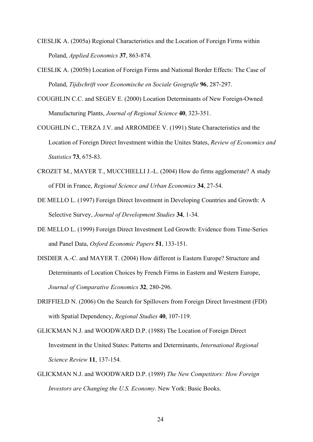- CIESLIK A. (2005a) Regional Characteristics and the Location of Foreign Firms within Poland, *Applied Economics* **37**, 863-874.
- CIESLIK A. (2005b) Location of Foreign Firms and National Border Effects: The Case of Poland, *Tijdschrift voor Economische en Sociale Geografie* **96**, 287-297.
- COUGHLIN C.C. and SEGEV E. (2000) Location Determinants of New Foreign-Owned Manufacturing Plants, *Journal of Regional Science* **40**, 323-351.
- COUGHLIN C., TERZA J.V. and ARROMDEE V. (1991) State Characteristics and the Location of Foreign Direct Investment within the Unites States, *Review of Economics and Statistics* **73**, 675-83.
- CROZET M., MAYER T., MUCCHIELLI J.-L. (2004) How do firms agglomerate? A study of FDI in France, *Regional Science and Urban Economics* **34**, 27-54.
- DE MELLO L. (1997) Foreign Direct Investment in Developing Countries and Growth: A Selective Survey, *Journal of Development Studies* **34**, 1-34.
- DE MELLO L. (1999) Foreign Direct Investment Led Growth: Evidence from Time-Series and Panel Data, *Oxford Economic Papers* **51**, 133-151.
- DISDIER A.-C. and MAYER T. (2004) How different is Eastern Europe? Structure and Determinants of Location Choices by French Firms in Eastern and Western Europe, *Journal of Comparative Economics* **32**, 280-296.
- DRIFFIELD N. (2006) On the Search for Spillovers from Foreign Direct Investment (FDI) with Spatial Dependency, *Regional Studies* **40**, 107-119.
- GLICKMAN N.J. and WOODWARD D.P. (1988) The Location of Foreign Direct Investment in the United States: Patterns and Determinants, *International Regional Science Review* **11**, 137-154*.*
- GLICKMAN N.J. and WOODWARD D.P. (1989) *The New Competitors: How Foreign Investors are Changing the U.S. Economy*. New York: Basic Books.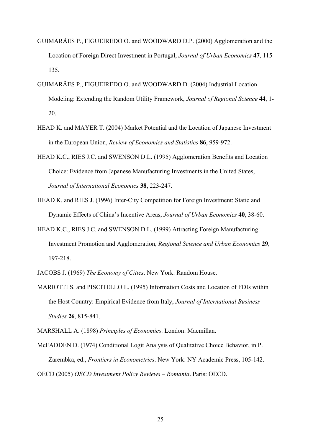- GUIMARÃES P., FIGUEIREDO O. and WOODWARD D.P. (2000) Agglomeration and the Location of Foreign Direct Investment in Portugal, *Journal of Urban Economics* **47**, 115- 135.
- GUIMARÃES P., FIGUEIREDO O. and WOODWARD D. (2004) Industrial Location Modeling: Extending the Random Utility Framework, *Journal of Regional Science* **44**, 1- 20.
- HEAD K. and MAYER T. (2004) Market Potential and the Location of Japanese Investment in the European Union, *Review of Economics and Statistics* **86**, 959-972.
- HEAD K.C., RIES J.C. and SWENSON D.L. (1995) Agglomeration Benefits and Location Choice: Evidence from Japanese Manufacturing Investments in the United States, *Journal of International Economics* **38**, 223-247.
- HEAD K. and RIES J. (1996) Inter-City Competition for Foreign Investment: Static and Dynamic Effects of China's Incentive Areas, *Journal of Urban Economics* **40**, 38-60.
- HEAD K.C., RIES J.C. and SWENSON D.L. (1999) Attracting Foreign Manufacturing: Investment Promotion and Agglomeration, *Regional Science and Urban Economics* **29**, 197-218.
- JACOBS J. (1969) *The Economy of Cities*. New York: Random House.
- MARIOTTI S. and PISCITELLO L. (1995) Information Costs and Location of FDIs within the Host Country: Empirical Evidence from Italy, *Journal of International Business Studies* **26**, 815-841.

MARSHALL A. (1898) *Principles of Economics*. London: Macmillan.

McFADDEN D. (1974) Conditional Logit Analysis of Qualitative Choice Behavior, in P. Zarembka, ed., *Frontiers in Econometrics*. New York: NY Academic Press, 105-142. OECD (2005) *OECD Investment Policy Reviews – Romania*. Paris: OECD.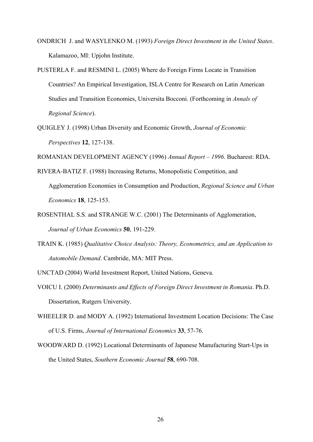- ONDRICH J. and WASYLENKO M. (1993) *Foreign Direct Investment in the United States*. Kalamazoo, MI: Upjohn Institute.
- PUSTERLA F. and RESMINI L. (2005) Where do Foreign Firms Locate in Transition Countries? An Empirical Investigation, ISLA Centre for Research on Latin American Studies and Transition Economies, Universita Bocconi. (Forthcoming in *Annals of Regional Science*).
- QUIGLEY J. (1998) Urban Diversity and Economic Growth, *Journal of Economic Perspectives* **12**, 127-138.

ROMANIAN DEVELOPMENT AGENCY (1996) *Annual Report – 1996*. Bucharest: RDA.

- RIVERA-BATIZ F. (1988) Increasing Returns, Monopolistic Competition, and Agglomeration Economies in Consumption and Production, *Regional Science and Urban Economics* **18**, 125-153.
- ROSENTHAL S.S. and STRANGE W.C. (2001) The Determinants of Agglomeration, *Journal of Urban Economics* **50**, 191-229.
- TRAIN K. (1985) *Qualitative Choice Analysis: Theory, Econometrics, and an Application to Automobile Demand*. Cambride, MA: MIT Press.
- UNCTAD (2004) World Investment Report, United Nations, Geneva.
- VOICU I. (2000) *Determinants and Effects of Foreign Direct Investment in Romania*. Ph.D. Dissertation, Rutgers University.
- WHEELER D. and MODY A. (1992) International Investment Location Decisions: The Case of U.S. Firms, *Journal of International Economics* **33**, 57-76.
- WOODWARD D. (1992) Locational Determinants of Japanese Manufacturing Start-Ups in the United States, *Southern Economic Journal* **58**, 690-708.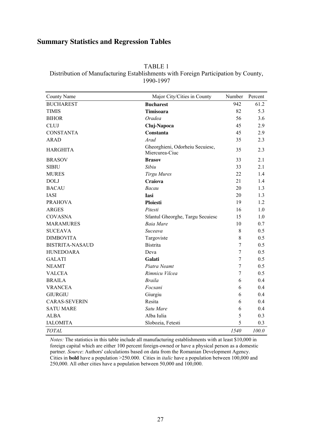# **Summary Statistics and Regression Tables**

| TABLE 1                                                                            |
|------------------------------------------------------------------------------------|
| Distribution of Manufacturing Establishments with Foreign Participation by County, |
|                                                                                    |

1990-1997

| County Name            | Major City/Cities in County                       | Number         | Percent |
|------------------------|---------------------------------------------------|----------------|---------|
| <b>BUCHAREST</b>       | <b>Bucharest</b>                                  | 942            | 61.2    |
| <b>TIMIS</b>           | <b>Timisoara</b>                                  | 82             | 5.3     |
| <b>BIHOR</b>           | Oradea                                            | 56             | 3.6     |
| <b>CLUJ</b>            | Cluj-Napoca                                       | 45             | 2.9     |
| <b>CONSTANTA</b>       | Constanta                                         | 45             | 2.9     |
| <b>ARAD</b>            | Arad                                              | 35             | 2.3     |
| <b>HARGHITA</b>        | Gheorghieni, Odorheiu Secuiesc,<br>Miercurea-Ciuc | 35             | 2.3     |
| <b>BRASOV</b>          | <b>Brasov</b>                                     | 33             | 2.1     |
| <b>SIBIU</b>           | Sibiu                                             | 33             | 2.1     |
| <b>MURES</b>           | <b>Tirgu Mures</b>                                | 22             | 1.4     |
| <b>DOLJ</b>            | Craiova                                           | 21             | 1.4     |
| <b>BACAU</b>           | Bacau                                             | 20             | 1.3     |
| <b>IASI</b>            | Iasi                                              | 20             | 1.3     |
| <b>PRAHOVA</b>         | <b>Ploiesti</b>                                   | 19             | 1.2     |
| <b>ARGES</b>           | Pitesti                                           | 16             | 1.0     |
| <b>COVASNA</b>         | Sfantul Gheorghe, Targu Secuiesc                  | 15             | 1.0     |
| <b>MARAMURES</b>       | <b>Baia Mare</b>                                  | 10             | 0.7     |
| <b>SUCEAVA</b>         | Suceava                                           | 8              | 0.5     |
| <b>DIMBOVITA</b>       | Targoviste                                        | 8              | 0.5     |
| <b>BISTRITA-NASAUD</b> | <b>Bistrita</b>                                   | $\overline{7}$ | 0.5     |
| <b>HUNEDOARA</b>       | Deva                                              | $\tau$         | 0.5     |
| <b>GALATI</b>          | Galati                                            | $\overline{7}$ | 0.5     |
| <b>NEAMT</b>           | Piatra Neamt                                      | $\overline{7}$ | 0.5     |
| <b>VALCEA</b>          | Rimnicu Vilcea                                    | $\overline{7}$ | 0.5     |
| <b>BRAILA</b>          | <b>Braila</b>                                     | 6              | 0.4     |
| <b>VRANCEA</b>         | Focsani                                           | 6              | 0.4     |
| <b>GIURGIU</b>         | Giurgiu                                           | 6              | 0.4     |
| <b>CARAS-SEVERIN</b>   | Resita                                            | 6              | 0.4     |
| <b>SATU MARE</b>       | Satu Mare                                         | 6              | 0.4     |
| <b>ALBA</b>            | Alba Iulia                                        | 5              | 0.3     |
| <b>IALOMITA</b>        | Slobozia, Fetesti                                 | 5              | 0.3     |
| <b>TOTAL</b>           |                                                   | 1540           | 100.0   |

*Notes:* The statistics in this table include all manufacturing establishments with at least \$10,000 in foreign capital which are either 100 percent foreign-owned or have a physical person as a domestic partner. *Source*: Authors' calculations based on data from the Romanian Development Agency. Cities in **bold** have a population >250.000. Cities in *italic* have a population between 100,000 and 250,000. All other cities have a population between 50,000 and 100,000.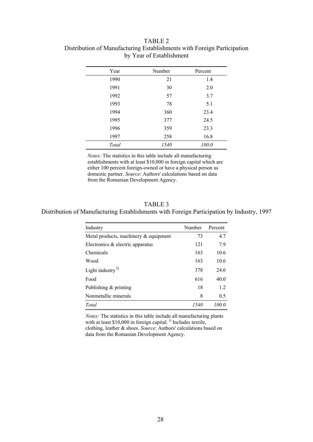| TABLE 2                                                                 |
|-------------------------------------------------------------------------|
| Distribution of Manufacturing Establishments with Foreign Participation |
| by Year of Establishment                                                |

| Year  | Number | Percent |
|-------|--------|---------|
| 1990  | 21     | 1.4     |
| 1991  | 30     | 2.0     |
| 1992  | 57     | 3.7     |
| 1993  | 78     | 5.1     |
| 1994  | 360    | 23.4    |
| 1995  | 377    | 24.5    |
| 1996  | 359    | 23.3    |
| 1997  | 258    | 16.8    |
| Total | 1540   | 100.0   |

*Notes:* The statistics in this table include all manufacturing establishments with at least \$10,000 in foreign capital which are either 100 percent foreign-owned or have a physical person as domestic partner. *Source*: Authors' calculations based on data from the Romanian Development Agency.

### TABLE 3

#### Distribution of Manufacturing Establishments with Foreign Participation by Industry, 1997

| Industry                                 | Number | Percent |
|------------------------------------------|--------|---------|
| Metal products, machinery $\&$ equipment | 73     | 4.7     |
| Electronics & electric apparatus         | 121    | 7.9     |
| Chemicals                                | 163    | 10.6    |
| Wood                                     | 163    | 10.6    |
| Light industry <sup>1)</sup>             | 378    | 24.6    |
| Food                                     | 616    | 40.0    |
| Publishing $&$ printing                  | 18     | 1.2     |
| Nonmetallic minerals                     | 8      | 0.5     |
| Total                                    | 1540   | 100 O   |

*Notes:* The statistics in this table include all manufacturing plants with at least \$10,000 in foreign capital.<sup>i)</sup> Includes textile, clothing, leather & shoes. *Source*: Authors' calculations based on data from the Romanian Development Agency.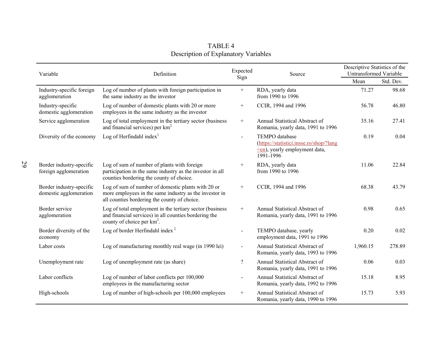| Variable                                           | Definition                                                                                                                                                   | Expected       | Source                                                                                                          | Descriptive Statistics of the<br>Untransformed Variable |           |  |
|----------------------------------------------------|--------------------------------------------------------------------------------------------------------------------------------------------------------------|----------------|-----------------------------------------------------------------------------------------------------------------|---------------------------------------------------------|-----------|--|
|                                                    |                                                                                                                                                              | Sign           |                                                                                                                 | Mean                                                    | Std. Dev. |  |
| Industry-specific foreign<br>agglomeration         | Log of number of plants with foreign participation in<br>the same industry as the investor                                                                   | $+$            | RDA, yearly data<br>from 1990 to 1996                                                                           | 71.27                                                   | 98.68     |  |
| Industry-specific<br>domestic agglomeration        | Log of number of domestic plants with 20 or more<br>employees in the same industry as the investor                                                           | $^{+}$         | CCIR, 1994 and 1996                                                                                             | 56.78                                                   | 46.80     |  |
| Service agglomeration                              | Log of total employment in the tertiary sector (business<br>and financial services) per $km2$                                                                | $^{+}$         | Annual Statistical Abstract of<br>Romania, yearly data, 1991 to 1996                                            | 35.16                                                   | 27.41     |  |
| Diversity of the economy                           | Log of Herfindahl index <sup>1</sup>                                                                                                                         | $\mathbf{r}$   | TEMPO database<br>(https://statistici.insse.ro/shop/?lang<br>$\equiv$ en), yearly employment data,<br>1991-1996 | 0.19                                                    | 0.04      |  |
| Border industry-specific<br>foreign agglomeration  | Log of sum of number of plants with foreign<br>participation in the same industry as the investor in all<br>counties bordering the county of choice.         | $^{+}$         | RDA, yearly data<br>from 1990 to 1996                                                                           | 11.06                                                   | 22.84     |  |
| Border industry-specific<br>domestic agglomeration | Log of sum of number of domestic plants with 20 or<br>more employees in the same industry as the investor in<br>all counties bordering the county of choice. | $^{+}$         | CCIR, 1994 and 1996                                                                                             | 68.38                                                   | 43.79     |  |
| Border service<br>agglomeration                    | Log of total employment in the tertiary sector (business<br>and financial services) in all counties bordering the<br>county of choice per $km^2$ .           | $+$            | Annual Statistical Abstract of<br>Romania, yearly data, 1991 to 1996                                            | 0.98                                                    | 0.65      |  |
| Border diversity of the<br>economy                 | Log of border Herfindahl index <sup>2</sup>                                                                                                                  | $\blacksquare$ | TEMPO database, yearly<br>employment data, 1991 to 1996                                                         | 0.20                                                    | 0.02      |  |
| Labor costs                                        | Log of manufacturing monthly real wage (in 1990 lei)                                                                                                         | $\blacksquare$ | Annual Statistical Abstract of<br>Romania, yearly data, 1993 to 1996                                            | 1,960.15                                                | 278.89    |  |
| Unemployment rate                                  | Log of unemployment rate (as share)                                                                                                                          | $\overline{?}$ | Annual Statistical Abstract of<br>Romania, yearly data, 1991 to 1996                                            | 0.06                                                    | 0.03      |  |
| Labor conflicts                                    | Log of number of labor conflicts per 100,000<br>employees in the manufacturing sector                                                                        | $\blacksquare$ | Annual Statistical Abstract of<br>Romania, yearly data, 1992 to 1996                                            | 15.18                                                   | 8.95      |  |
| High-schools                                       | Log of number of high-schools per 100,000 employees                                                                                                          | $+$            | Annual Statistical Abstract of<br>Romania, yearly data, 1990 to 1996                                            | 15.73                                                   | 5.93      |  |

TABLE 4 Description of Explanatory Variables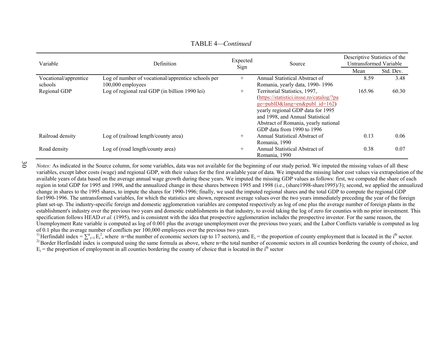| Variable              | Definition                                         | Expected<br>Sign | Source                                   | Descriptive Statistics of the<br>Untransformed Variable |           |  |
|-----------------------|----------------------------------------------------|------------------|------------------------------------------|---------------------------------------------------------|-----------|--|
|                       |                                                    |                  |                                          | Mean                                                    | Std. Dev. |  |
| Vocational/apprentice | Log of number of vocational/apprentice schools per | $^{+}$           | Annual Statistical Abstract of           | 8.59                                                    | 3.48      |  |
| schools               | 100,000 employees                                  |                  | Romania, yearly data, 1990-1996          |                                                         |           |  |
| Regional GDP          | Log of regional real GDP (in billion 1990 lei)     | $^{+}$           | Territorial Statistics, 1997,            | 165.96                                                  | 60.30     |  |
|                       |                                                    |                  | (https://statistici.insse.ro/catalog/?pa |                                                         |           |  |
|                       |                                                    |                  | $ge = pubID⟨ = en&publ$ id=162)          |                                                         |           |  |
|                       |                                                    |                  | yearly regional GDP data for 1995        |                                                         |           |  |
|                       |                                                    |                  | and 1998, and Annual Statistical         |                                                         |           |  |
|                       |                                                    |                  | Abstract of Romania, yearly national     |                                                         |           |  |
|                       |                                                    |                  | GDP data from 1990 to 1996               |                                                         |           |  |
| Railroad density      | Log of (railroad length/county area)               | $^{+}$           | Annual Statistical Abstract of           | 0.13                                                    | 0.06      |  |
|                       |                                                    |                  | Romania, 1990                            |                                                         |           |  |
| Road density          | Log of (road length/county area)                   |                  | Annual Statistical Abstract of           | 0.38                                                    | 0.07      |  |
|                       |                                                    |                  | Romania, 1990                            |                                                         |           |  |

TABLE 4*—Continued* 

30

*Notes*: As indicated in the Source column, for some variables, data was not available for the beginning of our study period. We imputed the missing values of all these variables, except labor costs (wage) and regional GDP, with their values for the first available year of data. We imputed the missing labor cost values via extrapolation of the available years of data based on the average annual wage growth during these years. We imputed the missing GDP values as follows: first, we computed the share of each region in total GDP for 1995 and 1998, and the annualized change in these shares between 1995 and 1998 (i.e., (share1998-share1995)/3); second, we applied the annualized change in shares to the 1995 shares, to impute the shares for 1990-1996; finally, we used the imputed regional shares and the total GDP to compute the regional GDP for1990-1996. The untransformed variables, for which the statistics are shown, represent average values over the two years immediately preceding the year of the foreign plant set-up. The industry-specific foreign and domestic agglomeration variables are computed respectively as log of one plus the average number of foreign plants in the establishment's industry over the previous two years and domestic establishments in that industry, to avoid taking the log of zero for counties with no prior investment. This specification follows HEAD *et al.* (1995), and is consistent with the idea that prospective agglomeration includes the prospective investor. For the same reason, the Unemployment Rate variable is computed as log of 0.001 plus the average unemployment over the previous two years; and the Labor Conflicts variable is computed as log of 0.1 plus the average number of conflicts per 100,000 employees over the previous two years.

<sup>1)</sup> Herfindahl index =  $\sum_{i=1}^{n} E_i^2$ , where n=the number of economic sectors (up to 17 sectors), and  $E_i$  = the proportion of county employment that is located in the i<sup>th</sup> sector. <sup>2)</sup> Border Herfindahl index is computed using the same formula as above, where n=the total number of economic sectors in all counties bordering the county of choice, and  $E_i$  = the proportion of employment in all counties bordering the county of choice that is located in the i<sup>th</sup> sector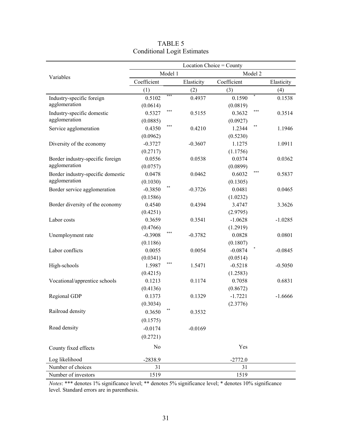|                                   | Location Choice = County |         |            |             |         |            |  |  |  |  |  |
|-----------------------------------|--------------------------|---------|------------|-------------|---------|------------|--|--|--|--|--|
| Variables                         |                          | Model 1 |            |             | Model 2 |            |  |  |  |  |  |
|                                   | Coefficient              |         | Elasticity | Coefficient |         | Elasticity |  |  |  |  |  |
|                                   | (1)                      |         | (2)        | (3)         |         | (4)        |  |  |  |  |  |
| Industry-specific foreign         | 0.5102                   | ***     | 0.4937     | 0.1590      | $\ast$  | 0.1538     |  |  |  |  |  |
| agglomeration                     | (0.0614)                 |         |            | (0.0819)    |         |            |  |  |  |  |  |
| Industry-specific domestic        | 0.5327                   | ***     | 0.5155     | 0.3632      | ***     | 0.3514     |  |  |  |  |  |
| agglomeration                     | (0.0885)                 |         |            | (0.0927)    |         |            |  |  |  |  |  |
| Service agglomeration             | 0.4350                   | ***     | 0.4210     | 1.2344      | **      | 1.1946     |  |  |  |  |  |
|                                   | (0.0962)                 |         |            | (0.5230)    |         |            |  |  |  |  |  |
| Diversity of the economy          | $-0.3727$                |         | $-0.3607$  | 1.1275      |         | 1.0911     |  |  |  |  |  |
|                                   | (0.2717)                 |         |            | (1.1756)    |         |            |  |  |  |  |  |
| Border industry-specific foreign  | 0.0556                   |         | 0.0538     | 0.0374      |         | 0.0362     |  |  |  |  |  |
| agglomeration                     | (0.0757)                 |         |            | (0.0899)    |         |            |  |  |  |  |  |
| Border industry-specific domestic | 0.0478                   |         | 0.0462     | 0.6032      | ***     | 0.5837     |  |  |  |  |  |
| agglomeration                     | (0.1030)                 |         |            | (0.1305)    |         |            |  |  |  |  |  |
| Border service agglomeration      | $-0.3850$                |         | $-0.3726$  | 0.0481      |         | 0.0465     |  |  |  |  |  |
|                                   | (0.1586)                 |         |            | (1.0232)    |         |            |  |  |  |  |  |
| Border diversity of the economy   | 0.4540                   |         | 0.4394     | 3.4747      |         | 3.3626     |  |  |  |  |  |
|                                   | (0.4251)                 |         |            | (2.9795)    |         |            |  |  |  |  |  |
| Labor costs                       | 0.3659                   |         | 0.3541     | $-1.0628$   |         | $-1.0285$  |  |  |  |  |  |
|                                   | (0.4766)                 |         |            | (1.2919)    |         |            |  |  |  |  |  |
| Unemployment rate                 | $-0.3908$                | ***     | $-0.3782$  | 0.0828      |         | 0.0801     |  |  |  |  |  |
|                                   | (0.1186)                 |         |            | (0.1807)    |         |            |  |  |  |  |  |
| Labor conflicts                   | 0.0055                   |         | 0.0054     | $-0.0874$   |         | $-0.0845$  |  |  |  |  |  |
|                                   | (0.0341)                 |         |            | (0.0514)    |         |            |  |  |  |  |  |
| High-schools                      | 1.5987                   | ***     | 1.5471     | $-0.5218$   |         | $-0.5050$  |  |  |  |  |  |
|                                   | (0.4215)                 |         |            | (1.2583)    |         |            |  |  |  |  |  |
| Vocational/apprentice schools     | 0.1213                   |         | 0.1174     | 0.7058      |         | 0.6831     |  |  |  |  |  |
|                                   | (0.4136)                 |         |            | (0.8672)    |         |            |  |  |  |  |  |
| Regional GDP                      | 0.1373                   |         | 0.1329     | $-1.7221$   |         | $-1.6666$  |  |  |  |  |  |
|                                   | (0.3034)                 |         |            | (2.3776)    |         |            |  |  |  |  |  |
| Railroad density                  | 0.3650                   | $**$    | 0.3532     |             |         |            |  |  |  |  |  |
|                                   | (0.1575)                 |         |            |             |         |            |  |  |  |  |  |
| Road density                      | $-0.0174$                |         | $-0.0169$  |             |         |            |  |  |  |  |  |
|                                   | (0.2721)                 |         |            |             |         |            |  |  |  |  |  |
| County fixed effects              | No                       |         |            | Yes         |         |            |  |  |  |  |  |
| Log likelihood                    | $-2838.9$                |         |            | $-2772.0$   |         |            |  |  |  |  |  |
| Number of choices                 | 31                       |         |            | 31          |         |            |  |  |  |  |  |
| Number of investors               | 1519                     |         |            | 1519        |         |            |  |  |  |  |  |

| TABLE 5                            |
|------------------------------------|
| <b>Conditional Logit Estimates</b> |

*Notes*: \*\*\* denotes 1% significance level; \*\* denotes 5% significance level; \* denotes 10% significance level. Standard errors are in parenthesis.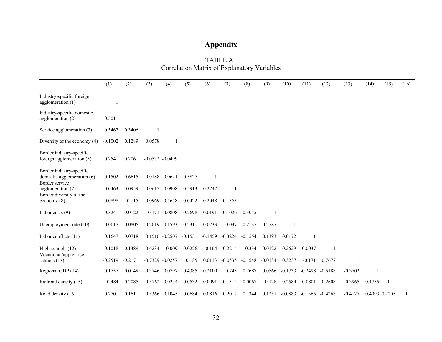# **Appendix**

| TABLE A1                                           |
|----------------------------------------------------|
| <b>Correlation Matrix of Explanatory Variables</b> |

|                                                        | (1)       | (2)          | (3)                | (4)               | (5)       | (6)       | (7)                 | (8)       | (9)                 | (10)      | (11)      | (12)           | (13)      | (14)   | (15)          | (16) |
|--------------------------------------------------------|-----------|--------------|--------------------|-------------------|-----------|-----------|---------------------|-----------|---------------------|-----------|-----------|----------------|-----------|--------|---------------|------|
| Industry-specific foreign<br>agglomeration $(1)$       |           |              |                    |                   |           |           |                     |           |                     |           |           |                |           |        |               |      |
| Industry-specific domestic<br>agglomeration (2)        | 0.5011    | $\mathbf{1}$ |                    |                   |           |           |                     |           |                     |           |           |                |           |        |               |      |
| Service agglomeration (3)                              | 0.5462    | 0.3406       |                    |                   |           |           |                     |           |                     |           |           |                |           |        |               |      |
| Diversity of the economy (4)                           | $-0.1002$ | 0.1289       | 0.0578             | $\mathbf{1}$      |           |           |                     |           |                     |           |           |                |           |        |               |      |
| Border industry-specific<br>foreign agglomeration (5)  | 0.2541    | 0.2061       | $-0.0532 - 0.0499$ |                   | 1         |           |                     |           |                     |           |           |                |           |        |               |      |
| Border industry-specific<br>domestic agglomeration (6) | 0.1502    | 0.6615       | $-0.0188$ 0.0621   |                   | 0.5827    |           |                     |           |                     |           |           |                |           |        |               |      |
| Border service<br>agglomeration (7)                    | $-0.0463$ | $-0.0959$    | 0.0615 0.0908      |                   | 0.5913    | 0.2747    |                     |           |                     |           |           |                |           |        |               |      |
| Border diversity of the<br>$e \text{conomy}(8)$        | $-0.0898$ | 0.115        | 0.0969             | 0.5658            | $-0.0422$ | 0.2048    | 0.1363              |           |                     |           |           |                |           |        |               |      |
| Labor costs $(9)$                                      | 0.3241    | 0.0122       |                    | $0.171 - 0.0808$  | 0.2698    | $-0.0191$ | $-0.1026$ $-0.3045$ |           |                     |           |           |                |           |        |               |      |
| Unemployment rate (10)                                 | 0.0017    | $-0.0805$    | $-0.2019 - 0.1593$ |                   | 0.2311    | 0.0233    | $-0.037$            | $-0.2135$ | 0.2787              |           |           |                |           |        |               |      |
| Labor conflicts (11)                                   | 0.1647    | 0.0718       |                    | $0.1516 - 0.2507$ | $-0.1551$ |           | $-0.1459 - 0.3224$  | $-0.1554$ | 0.1393              | 0.0172    |           |                |           |        |               |      |
| High-schools (12)                                      | $-0.1018$ | $-0.1389$    | $-0.6234$          | $-0.009$          | $-0.0226$ | $-0.164$  | $-0.2214$           |           | $-0.334 -0.0122$    | 0.2629    | $-0.0037$ | $\overline{1}$ |           |        |               |      |
| Vocational/apprentice<br>schools $(13)$                | $-0.2519$ | $-0.2171$    | $-0.7329 - 0.0257$ |                   | 0.185     | 0.0113    | $-0.0535$           |           | $-0.1548$ $-0.0184$ | 0.3237    | $-0.171$  | 0.7677         |           |        |               |      |
| Regional GDP (14)                                      | 0.1757    | 0.0148       | 0.3746 0.0797      |                   | 0.4385    | 0.2109    | 0.745               | 0.2687    | 0.0566              | $-0.1733$ | $-0.2498$ | $-0.5188$      | $-0.3702$ |        |               |      |
| Railroad density (15)                                  | 0.484     | 0.2085       | 0.5762             | 0.0234            | 0.0532    | $-0.0091$ | 0.1512              | 0.0067    | 0.128               | $-0.2584$ | $-0.0801$ | $-0.2608$      | $-0.3965$ | 0.1755 | -1            |      |
| Road density (16)                                      | 0.2701    | 0.1611       | 0.5366 0.1045      |                   | 0.0684    | 0.0816    | 0.2012              | 0.1344    | 0.1251              | $-0.0883$ | $-0.1365$ | $-0.4268$      | $-0.4127$ |        | 0.4093 0.2205 |      |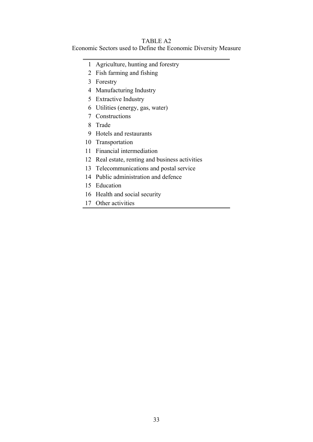# TABLE A2

Economic Sectors used to Define the Economic Diversity Measure

- 1 Agriculture, hunting and forestry
- 2 Fish farming and fishing
- 3 Forestry
- 4 Manufacturing Industry
- 5 Extractive Industry
- 6 Utilities (energy, gas, water)
- 7 Constructions
- 8 Trade
- 9 Hotels and restaurants
- 10 Transportation
- 11 Financial intermediation
- 12 Real estate, renting and business activities
- 13 Telecommunications and postal service
- 14 Public administration and defence
- 15 Education
- 16 Health and social security
- 17 Other activities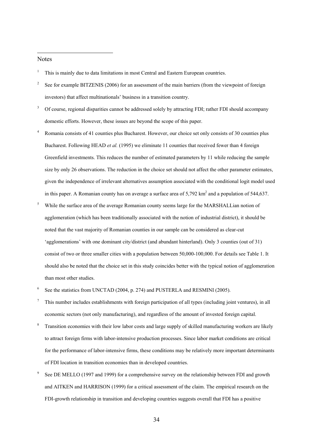#### Notes

-

- 1 This is mainly due to data limitations in most Central and Eastern European countries.
- 2 See for example BITZENIS (2006) for an assessment of the main barriers (from the viewpoint of foreign investors) that affect multinationals' business in a transition country.
- 3 Of course, regional disparities cannot be addressed solely by attracting FDI; rather FDI should accompany domestic efforts. However, these issues are beyond the scope of this paper.
- 4 Romania consists of 41 counties plus Bucharest. However, our choice set only consists of 30 counties plus Bucharest. Following HEAD *et al.* (1995) we eliminate 11 counties that received fewer than 4 foreign Greenfield investments. This reduces the number of estimated parameters by 11 while reducing the sample size by only 26 observations. The reduction in the choice set should not affect the other parameter estimates, given the independence of irrelevant alternatives assumption associated with the conditional logit model used in this paper. A Romanian county has on average a surface area of  $5,792 \text{ km}^2$  and a population of  $544,637$ .
- 5 While the surface area of the average Romanian county seems large for the MARSHALLian notion of agglomeration (which has been traditionally associated with the notion of industrial district), it should be noted that the vast majority of Romanian counties in our sample can be considered as clear-cut 'agglomerations' with one dominant city/district (and abundant hinterland). Only 3 counties (out of 31) consist of two or three smaller cities with a population between 50,000-100,000. For details see Table 1. It should also be noted that the choice set in this study coincides better with the typical notion of agglomeration than most other studies.
- 6 See the statistics from UNCTAD (2004, p. 274) and PUSTERLA and RESMINI (2005).
- 7 This number includes establishments with foreign participation of all types (including joint ventures), in all economic sectors (not only manufacturing), and regardless of the amount of invested foreign capital.
- 8 Transition economies with their low labor costs and large supply of skilled manufacturing workers are likely to attract foreign firms with labor-intensive production processes. Since labor market conditions are critical for the performance of labor-intensive firms, these conditions may be relatively more important determinants of FDI location in transition economies than in developed countries.
- 9 See DE MELLO (1997 and 1999) for a comprehensive survey on the relationship between FDI and growth and AITKEN and HARRISON (1999) for a critical assessment of the claim. The empirical research on the FDI-growth relationship in transition and developing countries suggests overall that FDI has a positive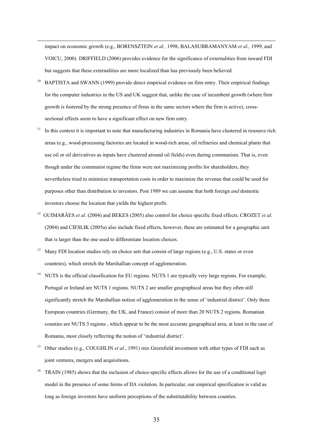impact on economic growth (e.g., BORENSZTEIN *et al.,* 1998, BALASUBRAMANYAM *et al.,* 1999, and VOICU, 2000). DRIFFIELD (2006) provides evidence for the significance of externalities from inward FDI but suggests that these externalities are more localized than has previously been believed.

-

- <sup>10</sup> BAPTISTA and SWANN (1999) provide direct empirical evidence on firm entry. Their empirical findings for the computer industries in the US and UK suggest that, unlike the case of incumbent growth (where firm growth is fostered by the strong presence of firms in the same sectors where the firm is active), crosssectional effects seem to have a significant effect on new firm entry.
- <sup>11</sup> In this context it is important to note that manufacturing industries in Romania have clustered in resource rich areas (e.g., wood-processing factories are located in wood-rich areas, oil refineries and chemical plants that use oil or oil derivatives as inputs have clustered around oil fields) even during communism. That is, even though under the communist regime the firms were not maximizing profits for shareholders, they nevertheless tried to minimize transportation costs in order to maximize the revenue that could be used for purposes other than distribution to investors. Post 1989 we can assume that both foreign *and* domestic investors choose the location that yields the highest profit.
- <sup>12</sup> GUIMARÃES *et al.* (2004) and BEKES (2005) also control for choice specific fixed effects. CROZET *et al.* (2004) and CIESLIK (2005a) also include fixed effects, however, these are estimated for a geographic unit that is larger than the one used to differentiate location choices.
- Many FDI location studies rely on choice sets that consist of large regions (e.g., U.S. states or even countries), which stretch the Marshallian concept of agglomeration.
- <sup>14</sup> NUTS is the official classification for EU regions. NUTS 1 are typically very large regions. For example, Portugal or Ireland are NUTS 1 regions. NUTS 2 are smaller geographical areas but they often still significantly stretch the Marshallian notion of agglomeration in the sense of 'industrial district'. Only three European countries (Germany, the UK, and France) consist of more than 20 NUTS 2 regions. Romanian counties are NUTS 3 regions , which appear to be the most accurate geographical area, at least in the case of Romania, most closely reflecting the notion of 'industrial district'.
- <sup>15</sup> Other studies (e.g., COUGHLIN *et al.*, 1991) mix Greenfield investment with other types of FDI such as joint ventures, mergers and acquisitions.
- <sup>16</sup> TRAIN (1985) shows that the inclusion of choice-specific effects allows for the use of a conditional logit model in the presence of some forms of IIA violation. In particular, our empirical specification is valid as long as foreign investors have uniform perceptions of the substitutability between counties.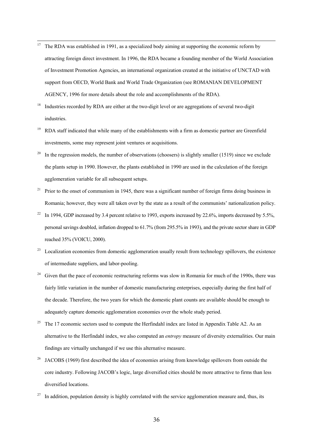- $17$ <sup>17</sup> The RDA was established in 1991, as a specialized body aiming at supporting the economic reform by attracting foreign direct investment. In 1996, the RDA became a founding member of the World Association of Investment Promotion Agencies, an international organization created at the initiative of UNCTAD with support from OECD, World Bank and World Trade Organization (see ROMANIAN DEVELOPMENT AGENCY, 1996 for more details about the role and accomplishments of the RDA).
- <sup>18</sup> Industries recorded by RDA are either at the two-digit level or are aggregations of several two-digit industries.
- <sup>19</sup> RDA staff indicated that while many of the establishments with a firm as domestic partner are Greenfield investments, some may represent joint ventures or acquisitions.
- <sup>20</sup> In the regression models, the number of observations (choosers) is slightly smaller (1519) since we exclude the plants setup in 1990. However, the plants established in 1990 are used in the calculation of the foreign agglomeration variable for all subsequent setups.
- $21$  Prior to the onset of communism in 1945, there was a significant number of foreign firms doing business in Romania; however, they were all taken over by the state as a result of the communists' nationalization policy.
- In 1994, GDP increased by 3.4 percent relative to 1993, exports increased by 22.6%, imports decreased by 5.5%, personal savings doubled, inflation dropped to 61.7% (from 295.5% in 1993), and the private sector share in GDP reached 35% (VOICU, 2000).
- <sup>23</sup> Localization economies from domestic agglomeration usually result from technology spillovers, the existence of intermediate suppliers, and labor-pooling.
- Given that the pace of economic restructuring reforms was slow in Romania for much of the 1990s, there was fairly little variation in the number of domestic manufacturing enterprises, especially during the first half of the decade. Therefore, the two years for which the domestic plant counts are available should be enough to adequately capture domestic agglomeration economies over the whole study period.
- <sup>25</sup> The 17 economic sectors used to compute the Herfindahl index are listed in Appendix Table A2. As an alternative to the Herfindahl index, we also computed an *entropy* measure of diversity externalities. Our main findings are virtually unchanged if we use this alternative measure.
- <sup>26</sup> JACOBS (1969) first described the idea of economies arising from knowledge spillovers from outside the core industry. Following JACOB's logic, large diversified cities should be more attractive to firms than less diversified locations.
- In addition, population density is highly correlated with the service agglomeration measure and, thus, its